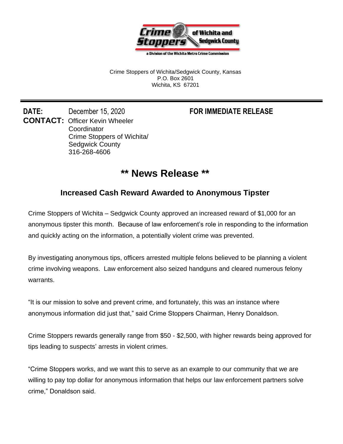

a Division of the Wichita Metro Crime Commission

Crime Stoppers of Wichita/Sedgwick County, Kansas P.O. Box 2601 Wichita, KS 67201

**DATE:** December 15, 2020 **FOR IMMEDIATE RELEASE CONTACT:** Officer Kevin Wheeler **Coordinator** Crime Stoppers of Wichita/ Sedgwick County 316-268-4606

## **\*\* News Release \*\***

## **Increased Cash Reward Awarded to Anonymous Tipster**

Crime Stoppers of Wichita – Sedgwick County approved an increased reward of \$1,000 for an anonymous tipster this month. Because of law enforcement's role in responding to the information and quickly acting on the information, a potentially violent crime was prevented.

By investigating anonymous tips, officers arrested multiple felons believed to be planning a violent crime involving weapons. Law enforcement also seized handguns and cleared numerous felony warrants.

"It is our mission to solve and prevent crime, and fortunately, this was an instance where anonymous information did just that," said Crime Stoppers Chairman, Henry Donaldson.

Crime Stoppers rewards generally range from \$50 - \$2,500, with higher rewards being approved for tips leading to suspects' arrests in violent crimes.

"Crime Stoppers works, and we want this to serve as an example to our community that we are willing to pay top dollar for anonymous information that helps our law enforcement partners solve crime," Donaldson said.